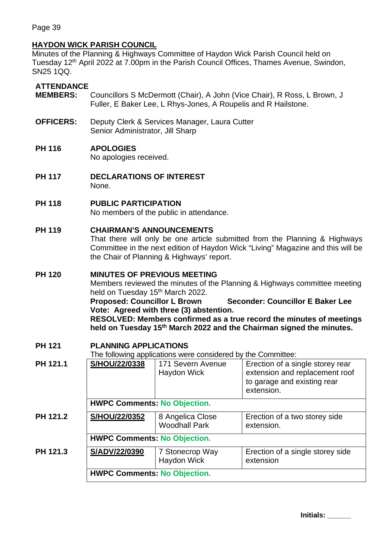Page 39

## **HAYDON WICK PARISH COUNCIL**

Minutes of the Planning & Highways Committee of Haydon Wick Parish Council held on Tuesday 12<sup>th</sup> April 2022 at 7.00pm in the Parish Council Offices, Thames Avenue, Swindon, SN25 1QQ.

### **ATTENDANCE**

- **MEMBERS:** Councillors S McDermott (Chair), A John (Vice Chair), R Ross, L Brown, J Fuller, E Baker Lee, L Rhys-Jones, A Roupelis and R Hailstone.
- **OFFICERS:** Deputy Clerk & Services Manager, Laura Cutter Senior Administrator, Jill Sharp

### **PH 116 APOLOGIES**

No apologies received.

**PH 117 DECLARATIONS OF INTEREST** None.

**PH 118 PUBLIC PARTICIPATION** No members of the public in attendance.

### **PH 119 CHAIRMAN'S ANNOUNCEMENTS**

That there will only be one article submitted from the Planning & Highways Committee in the next edition of Haydon Wick "Living" Magazine and this will be the Chair of Planning & Highways' report.

# **PH 120 MINUTES OF PREVIOUS MEETING**

Members reviewed the minutes of the Planning & Highways committee meeting held on Tuesday 15<sup>th</sup> March 2022.

**Proposed: Councillor L Brown Seconder: Councillor E Baker Lee Vote: Agreed with three (3) abstention.**

**RESOLVED: Members confirmed as a true record the minutes of meetings held on Tuesday 15th March 2022 and the Chairman signed the minutes.**

### **PH 121 PLANNING APPLICATIONS**

The following applications were considered by the Committee:

| PH 121.1 | S/HOU/22/0338                       | <b>The rendming approactions from contaction of</b><br>171 Severn Avenue<br>Haydon Wick | Erection of a single storey rear<br>extension and replacement roof<br>to garage and existing rear<br>extension. |  |
|----------|-------------------------------------|-----------------------------------------------------------------------------------------|-----------------------------------------------------------------------------------------------------------------|--|
|          | <b>HWPC Comments: No Objection.</b> |                                                                                         |                                                                                                                 |  |
| PH 121.2 | S/HOU/22/0352                       | 8 Angelica Close<br><b>Woodhall Park</b>                                                | Erection of a two storey side<br>extension.                                                                     |  |
|          | <b>HWPC Comments: No Objection.</b> |                                                                                         |                                                                                                                 |  |
| PH 121.3 | S/ADV/22/0390                       | 7 Stonecrop Way<br>Haydon Wick                                                          | Erection of a single storey side<br>extension                                                                   |  |
|          | <b>HWPC Comments: No Objection.</b> |                                                                                         |                                                                                                                 |  |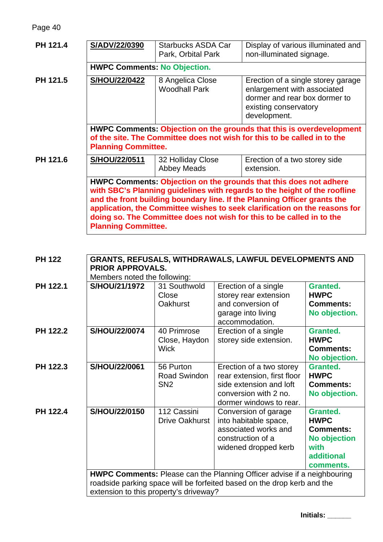Page 40

| PH 121.4 | S/ADV/22/0390                                                                                                                                                                                                                                                                                                                                                                                                   | Starbucks ASDA Car<br>Park, Orbital Park | Display of various illuminated and<br>non-illuminated signage.                                                                              |  |
|----------|-----------------------------------------------------------------------------------------------------------------------------------------------------------------------------------------------------------------------------------------------------------------------------------------------------------------------------------------------------------------------------------------------------------------|------------------------------------------|---------------------------------------------------------------------------------------------------------------------------------------------|--|
|          | <b>HWPC Comments: No Objection.</b>                                                                                                                                                                                                                                                                                                                                                                             |                                          |                                                                                                                                             |  |
| PH 121.5 | S/HOU/22/0422                                                                                                                                                                                                                                                                                                                                                                                                   | 8 Angelica Close<br><b>Woodhall Park</b> | Erection of a single storey garage<br>enlargement with associated<br>dormer and rear box dormer to<br>existing conservatory<br>development. |  |
|          | <b>HWPC Comments: Objection on the grounds that this is overdevelopment</b>                                                                                                                                                                                                                                                                                                                                     |                                          |                                                                                                                                             |  |
|          | of the site. The Committee does not wish for this to be called in to the                                                                                                                                                                                                                                                                                                                                        |                                          |                                                                                                                                             |  |
|          | <b>Planning Committee.</b>                                                                                                                                                                                                                                                                                                                                                                                      |                                          |                                                                                                                                             |  |
| PH 121.6 | S/HOU/22/0511                                                                                                                                                                                                                                                                                                                                                                                                   | 32 Holliday Close<br><b>Abbey Meads</b>  | Erection of a two storey side<br>extension.                                                                                                 |  |
|          | HWPC Comments: Objection on the grounds that this does not adhere<br>with SBC's Planning guidelines with regards to the height of the roofline<br>and the front building boundary line. If the Planning Officer grants the<br>application, the Committee wishes to seek clarification on the reasons for<br>doing so. The Committee does not wish for this to be called in to the<br><b>Planning Committee.</b> |                                          |                                                                                                                                             |  |

| <b>PH 122</b> | <b>GRANTS, REFUSALS, WITHDRAWALS, LAWFUL DEVELOPMENTS AND</b><br><b>PRIOR APPROVALS.</b><br>Members noted the following: |                                              |                                                                                                                                        |                                                                                                              |
|---------------|--------------------------------------------------------------------------------------------------------------------------|----------------------------------------------|----------------------------------------------------------------------------------------------------------------------------------------|--------------------------------------------------------------------------------------------------------------|
| PH 122.1      | S/HOU/21/1972                                                                                                            | 31 Southwold<br>Close<br><b>Oakhurst</b>     | Erection of a single<br>storey rear extension<br>and conversion of<br>garage into living<br>accommodation.                             | <b>Granted.</b><br><b>HWPC</b><br><b>Comments:</b><br>No objection.                                          |
| PH 122.2      | S/HOU/22/0074                                                                                                            | 40 Primrose<br>Close, Haydon<br><b>Wick</b>  | Erection of a single<br>storey side extension.                                                                                         | <b>Granted.</b><br><b>HWPC</b><br><b>Comments:</b><br>No objection.                                          |
| PH 122.3      | S/HOU/22/0061                                                                                                            | 56 Purton<br>Road Swindon<br>SN <sub>2</sub> | Erection of a two storey<br>rear extension, first floor<br>side extension and loft<br>conversion with 2 no.<br>dormer windows to rear. | <b>Granted.</b><br><b>HWPC</b><br><b>Comments:</b><br>No objection.                                          |
| PH 122.4      | S/HOU/22/0150                                                                                                            | 112 Cassini<br><b>Drive Oakhurst</b>         | Conversion of garage<br>into habitable space,<br>associated works and<br>construction of a<br>widened dropped kerb                     | <b>Granted.</b><br><b>HWPC</b><br><b>Comments:</b><br><b>No objection</b><br>with<br>additional<br>comments. |
|               |                                                                                                                          |                                              | <b>HWPC Comments:</b> Please can the Planning Officer advise if a neighbouring                                                         |                                                                                                              |
|               | roadside parking space will be forfeited based on the drop kerb and the<br>extension to this property's driveway?        |                                              |                                                                                                                                        |                                                                                                              |
|               |                                                                                                                          |                                              |                                                                                                                                        |                                                                                                              |

**Initials: \_\_\_\_\_\_**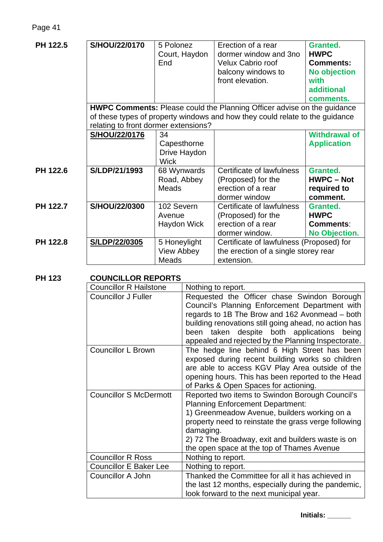| PH 122.5 | <b>S/HOU/22/0170</b>                                                                                                                                                                                   | 5 Polonez<br>Court, Haydon<br>End                 | Erection of a rear<br>dormer window and 3no<br>Velux Cabrio roof<br>balcony windows to<br>front elevation. | Granted.<br><b>HWPC</b><br>Comments:<br><b>No objection</b><br>with        |
|----------|--------------------------------------------------------------------------------------------------------------------------------------------------------------------------------------------------------|---------------------------------------------------|------------------------------------------------------------------------------------------------------------|----------------------------------------------------------------------------|
|          |                                                                                                                                                                                                        |                                                   |                                                                                                            | additional<br>comments.                                                    |
|          | <b>HWPC Comments:</b> Please could the Planning Officer advise on the guidance<br>of these types of property windows and how they could relate to the guidance<br>relating to front dormer extensions? |                                                   |                                                                                                            |                                                                            |
|          | S/HOU/22/0176                                                                                                                                                                                          | 34<br>Capesthorne<br>Drive Haydon<br><b>Wick</b>  |                                                                                                            | <b>Withdrawal of</b><br><b>Application</b>                                 |
| PH 122.6 | S/LDP/21/1993                                                                                                                                                                                          | 68 Wynwards<br>Road, Abbey<br><b>Meads</b>        | Certificate of lawfulness<br>(Proposed) for the<br>erection of a rear<br>dormer window                     | Granted.<br><b>HWPC - Not</b><br>required to<br>comment.                   |
| PH 122.7 | S/HOU/22/0300                                                                                                                                                                                          | 102 Severn<br>Avenue<br>Haydon Wick               | Certificate of lawfulness<br>(Proposed) for the<br>erection of a rear<br>dormer window.                    | <b>Granted.</b><br><b>HWPC</b><br><b>Comments:</b><br><b>No Objection.</b> |
| PH 122.8 | S/LDP/22/0305                                                                                                                                                                                          | 5 Honeylight<br><b>View Abbey</b><br><b>Meads</b> | Certificate of lawfulness (Proposed) for<br>the erection of a single storey rear<br>extension.             |                                                                            |

# **PH 123 COUNCILLOR REPORTS**

| <b>Councillor R Hailstone</b> | Nothing to report.                                                                                                                                                                                                                                                                                                 |
|-------------------------------|--------------------------------------------------------------------------------------------------------------------------------------------------------------------------------------------------------------------------------------------------------------------------------------------------------------------|
| <b>Councillor J Fuller</b>    | Requested the Officer chase Swindon Borough<br>Council's Planning Enforcement Department with<br>regards to 1B The Brow and 162 Avonmead – both<br>building renovations still going ahead, no action has<br>been taken despite both applications being<br>appealed and rejected by the Planning Inspectorate.      |
| <b>Councillor L Brown</b>     | The hedge line behind 6 High Street has been<br>exposed during recent building works so children<br>are able to access KGV Play Area outside of the<br>opening hours. This has been reported to the Head<br>of Parks & Open Spaces for actioning.                                                                  |
| <b>Councillor S McDermott</b> | Reported two items to Swindon Borough Council's<br><b>Planning Enforcement Department:</b><br>1) Greenmeadow Avenue, builders working on a<br>property need to reinstate the grass verge following<br>damaging.<br>2) 72 The Broadway, exit and builders waste is on<br>the open space at the top of Thames Avenue |
| <b>Councillor R Ross</b>      | Nothing to report.                                                                                                                                                                                                                                                                                                 |
| <b>Councillor E Baker Lee</b> | Nothing to report.                                                                                                                                                                                                                                                                                                 |
| <b>Councillor A John</b>      | Thanked the Committee for all it has achieved in<br>the last 12 months, especially during the pandemic,<br>look forward to the next municipal year.                                                                                                                                                                |

**Initials: \_\_\_\_\_\_**